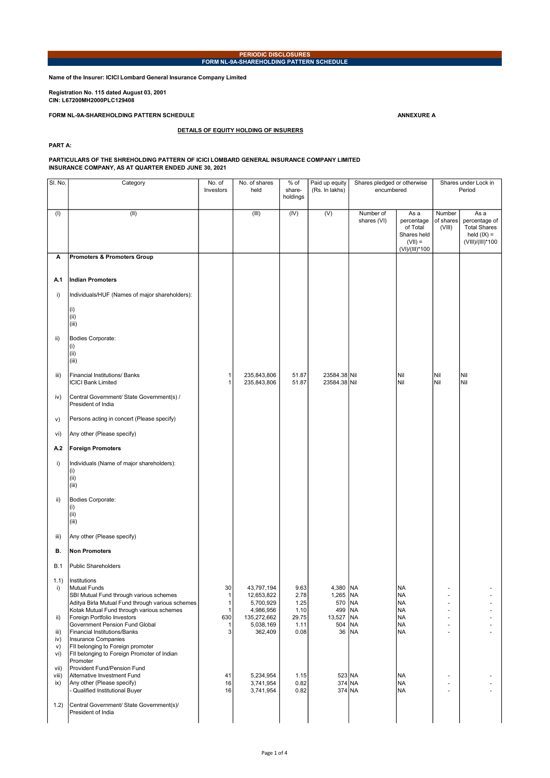## PERIODIC DISCLOSURES FORM NL-9A-SHAREHOLDING PATTERN SCHEDULE

Name of the Insurer: ICICI Lombard General Insurance Company Limited

Registration No. 115 dated August 03, 2001 CIN: L67200MH2000PLC129408

FORM NL-9A-SHAREHOLDING PATTERN SCHEDULE ANNEXURE ANNEXURE ANNEXURE A

DETAILS OF EQUITY HOLDING OF INSURERS

PART A:

## PARTICULARS OF THE SHREHOLDING PATTERN OF ICICI LOMBARD GENERAL INSURANCE COMPANY LIMITED INSURANCE COMPANY, AS AT QUARTER ENDED JUNE 30, 2021

| SI. No.                  | Category                                                                                                                                                                        | No. of<br>Investors          | No. of shares<br>held                              | % of<br>share-<br>holdings   | Paid up equity<br>(Rs. In lakhs)          | Shares pledged or otherwise<br>encumbered |                                                                              | Shares under Lock in<br>Period |                                                                                   |
|--------------------------|---------------------------------------------------------------------------------------------------------------------------------------------------------------------------------|------------------------------|----------------------------------------------------|------------------------------|-------------------------------------------|-------------------------------------------|------------------------------------------------------------------------------|--------------------------------|-----------------------------------------------------------------------------------|
| (1)                      | (II)                                                                                                                                                                            |                              | (III)                                              | (IV)                         | (V)                                       | Number of<br>shares (VI)                  | As a<br>percentage<br>of Total<br>Shares held<br>$(VII) =$<br>(VI)/(III)*100 | Number<br>of shares<br>(VIII)  | As a<br>percentage of<br><b>Total Shares</b><br>held $(IX) =$<br>(VIII)/(III)*100 |
| Α                        | <b>Promoters &amp; Promoters Group</b>                                                                                                                                          |                              |                                                    |                              |                                           |                                           |                                                                              |                                |                                                                                   |
| A.1                      | <b>Indian Promoters</b>                                                                                                                                                         |                              |                                                    |                              |                                           |                                           |                                                                              |                                |                                                                                   |
| i)                       | Individuals/HUF (Names of major shareholders):                                                                                                                                  |                              |                                                    |                              |                                           |                                           |                                                                              |                                |                                                                                   |
|                          | (i)<br>(ii)<br>(iii)                                                                                                                                                            |                              |                                                    |                              |                                           |                                           |                                                                              |                                |                                                                                   |
| ii)                      | Bodies Corporate:<br>(i)<br>(ii)<br>(iii)                                                                                                                                       |                              |                                                    |                              |                                           |                                           |                                                                              |                                |                                                                                   |
| iii)                     | Financial Institutions/ Banks<br><b>ICICI Bank Limited</b>                                                                                                                      | 1<br>1                       | 235,843,806<br>235,843,806                         | 51.87<br>51.87               | 23584.38 Nil<br>23584.38 Nil              |                                           | Nil<br>Nil                                                                   | Nil<br>Nil                     | Nil<br>Nil                                                                        |
| iv)                      | Central Government/ State Government(s) /<br>President of India                                                                                                                 |                              |                                                    |                              |                                           |                                           |                                                                              |                                |                                                                                   |
| V)                       | Persons acting in concert (Please specify)                                                                                                                                      |                              |                                                    |                              |                                           |                                           |                                                                              |                                |                                                                                   |
| vi)                      | Any other (Please specify)                                                                                                                                                      |                              |                                                    |                              |                                           |                                           |                                                                              |                                |                                                                                   |
| A.2                      | <b>Foreign Promoters</b>                                                                                                                                                        |                              |                                                    |                              |                                           |                                           |                                                                              |                                |                                                                                   |
| i)                       | Individuals (Name of major shareholders):<br>(i)<br>(ii)<br>(iii)                                                                                                               |                              |                                                    |                              |                                           |                                           |                                                                              |                                |                                                                                   |
| ii)                      | Bodies Corporate:<br>(i)<br>(ii)<br>(iii)                                                                                                                                       |                              |                                                    |                              |                                           |                                           |                                                                              |                                |                                                                                   |
| iii)                     | Any other (Please specify)                                                                                                                                                      |                              |                                                    |                              |                                           |                                           |                                                                              |                                |                                                                                   |
| В.                       | <b>Non Promoters</b>                                                                                                                                                            |                              |                                                    |                              |                                           |                                           |                                                                              |                                |                                                                                   |
| B.1                      | <b>Public Shareholders</b>                                                                                                                                                      |                              |                                                    |                              |                                           |                                           |                                                                              |                                |                                                                                   |
| (1.1)<br>i)              | Institutions<br><b>Mutual Funds</b><br>SBI Mutual Fund through various schemes<br>Aditya Birla Mutual Fund through various schemes<br>Kotak Mutual Fund through various schemes | 30<br>1<br>1<br>$\mathbf{1}$ | 43,797,194<br>12,653,822<br>5,700,929<br>4,986,956 | 9.63<br>2.78<br>1.25<br>1.10 | 4,380   NA<br>1,265   NA<br>570<br>499 NA | NA                                        | <b>NA</b><br><b>NA</b><br><b>NA</b><br><b>NA</b>                             | ä,<br>٠<br>ä,                  |                                                                                   |
| ii)                      | Foreign Portfolio Investors<br>Government Pension Fund Global                                                                                                                   | 630<br>$\mathbf{1}$          | 135,272,662<br>5,038,169                           | 29.75<br>1.11                | 13,527   NA<br>504 NA                     |                                           | <b>NA</b><br>NA                                                              | ä,<br>÷.                       | $\overline{\phantom{a}}$                                                          |
| iii)<br>iv)<br>V)<br>vi) | Financial Institutions/Banks<br>Insurance Companies<br>FII belonging to Foreign promoter<br>FII belonging to Foreign Promoter of Indian                                         | 3                            | 362,409                                            | 0.08                         | 36 NA                                     |                                           | <b>NA</b>                                                                    |                                |                                                                                   |
| vii)<br>viii)<br>ix)     | Promoter<br>Provident Fund/Pension Fund<br>Alternative Investment Fund<br>Any other (Please specify)<br>- Qualified Institutional Buyer                                         | 41<br>16<br>16               | 5,234,954<br>3,741,954<br>3,741,954                | 1.15<br>0.82<br>0.82         | $523$ NA<br>374 NA<br>374 NA              |                                           | NA<br>NA<br>NA                                                               |                                |                                                                                   |
| 1.2)                     | Central Government/ State Government(s)/<br>President of India                                                                                                                  |                              |                                                    |                              |                                           |                                           |                                                                              |                                |                                                                                   |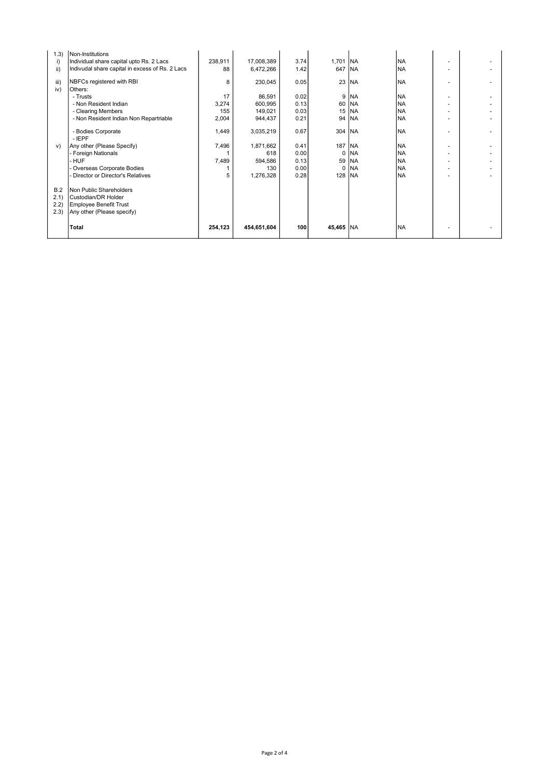| 1.3) | Non-Institutions                                |         |             |      |           |            |           |  |
|------|-------------------------------------------------|---------|-------------|------|-----------|------------|-----------|--|
| i)   | Individual share capital upto Rs. 2 Lacs        | 238,911 | 17,008,389  | 3.74 | 1,701 NA  |            | <b>NA</b> |  |
| ii)  | Indivudal share capital in excess of Rs. 2 Lacs | 88      | 6,472,266   | 1.42 | 647       | <b>INA</b> | <b>NA</b> |  |
| iii) | NBFCs registered with RBI                       | 8       | 230,045     | 0.05 | 23        | <b>INA</b> | <b>NA</b> |  |
| iv)  | Others:                                         |         |             |      |           |            |           |  |
|      | - Trusts                                        | 17      | 86,591      | 0.02 | 9         | <b>INA</b> | <b>NA</b> |  |
|      | - Non Resident Indian                           | 3,274   | 600,995     | 0.13 | 60        | NA         | <b>NA</b> |  |
|      | - Clearing Members                              | 155     | 149,021     | 0.03 | 15        | NA         | <b>NA</b> |  |
|      | - Non Resident Indian Non Repartriable          | 2,004   | 944,437     | 0.21 | 94        | <b>NA</b>  | <b>NA</b> |  |
|      |                                                 |         |             |      |           |            |           |  |
|      | - Bodies Corporate                              | 1,449   | 3,035,219   | 0.67 | 304   NA  |            | <b>NA</b> |  |
|      | $-$ IEPF                                        |         |             |      |           |            |           |  |
| V)   | Any other (Please Specify)                      | 7,496   | 1,871,662   | 0.41 | 187       | <b>INA</b> | <b>NA</b> |  |
|      | - Foreign Nationals                             |         | 618         | 0.00 | $\Omega$  | lna        | <b>NA</b> |  |
|      | - HUF                                           | 7,489   | 594,586     | 0.13 | 59        | <b>NA</b>  | <b>NA</b> |  |
|      | Overseas Corporate Bodies                       |         | 130         | 0.00 | 0         | lna        | <b>NA</b> |  |
|      | Director or Director's Relatives                | 5       | 1,276,328   | 0.28 | 128       | <b>NA</b>  | <b>NA</b> |  |
| B.2  | Non Public Shareholders                         |         |             |      |           |            |           |  |
| 2.1) | Custodian/DR Holder                             |         |             |      |           |            |           |  |
|      |                                                 |         |             |      |           |            |           |  |
| 2.2) | <b>Employee Benefit Trust</b>                   |         |             |      |           |            |           |  |
| 2.3) | Any other (Please specify)                      |         |             |      |           |            |           |  |
|      | <b>Total</b>                                    | 254,123 | 454,651,604 | 100  | 45,465 NA |            | <b>NA</b> |  |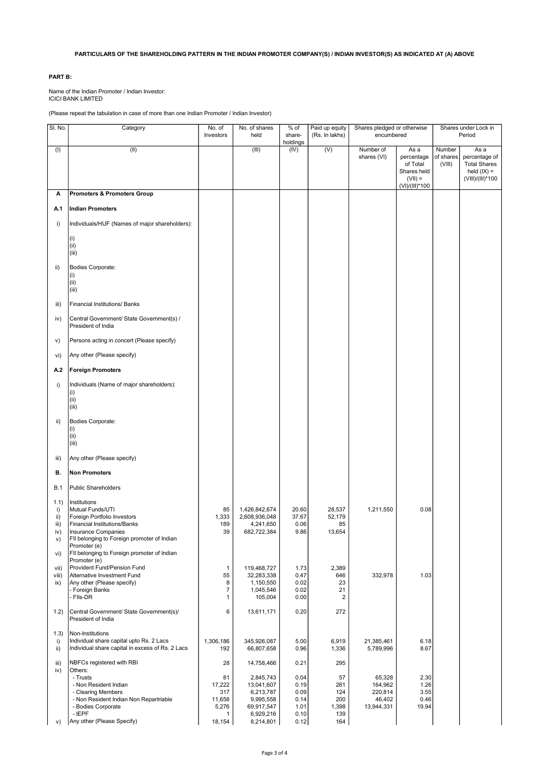## PARTICULARS OF THE SHAREHOLDING PATTERN IN THE INDIAN PROMOTER COMPANY(S) / INDIAN INVESTOR(S) AS INDICATED AT (A) ABOVE

## PART B:

Name of the Indian Promoter / Indian Investor: ICICI BANK LIMITED

(Please repeat the tabulation in case of more than one Indian Promoter / Indian Investor)

| SI. No.                                       | Category                                                                                                                                                                                                                                                    | No. of<br>Investors                         | No. of shares<br>held                                                        | % of<br>share-                               | Paid up equity<br>(Rs. In lakhs)        | Shares pledged or otherwise<br>encumbered            |                                                                              |                               | Shares under Lock in<br>Period                                                    |
|-----------------------------------------------|-------------------------------------------------------------------------------------------------------------------------------------------------------------------------------------------------------------------------------------------------------------|---------------------------------------------|------------------------------------------------------------------------------|----------------------------------------------|-----------------------------------------|------------------------------------------------------|------------------------------------------------------------------------------|-------------------------------|-----------------------------------------------------------------------------------|
|                                               |                                                                                                                                                                                                                                                             |                                             |                                                                              | holdings                                     |                                         |                                                      |                                                                              |                               |                                                                                   |
| (1)                                           | (II)                                                                                                                                                                                                                                                        |                                             | (III)                                                                        | (IV)                                         | (V)                                     | Number of<br>shares (VI)                             | As a<br>percentage<br>of Total<br>Shares held<br>$(VII) =$<br>(VI)/(III)*100 | Number<br>of shares<br>(VIII) | As a<br>percentage of<br><b>Total Shares</b><br>held $(IX) =$<br>(VIII)/(III)*100 |
| Α                                             | <b>Promoters &amp; Promoters Group</b>                                                                                                                                                                                                                      |                                             |                                                                              |                                              |                                         |                                                      |                                                                              |                               |                                                                                   |
| A.1                                           | <b>Indian Promoters</b>                                                                                                                                                                                                                                     |                                             |                                                                              |                                              |                                         |                                                      |                                                                              |                               |                                                                                   |
| i)                                            | Individuals/HUF (Names of major shareholders):                                                                                                                                                                                                              |                                             |                                                                              |                                              |                                         |                                                      |                                                                              |                               |                                                                                   |
|                                               | (i)<br>(ii)<br>(iii)                                                                                                                                                                                                                                        |                                             |                                                                              |                                              |                                         |                                                      |                                                                              |                               |                                                                                   |
| ii)                                           | Bodies Corporate:<br>(i)<br>(ii)<br>(iii)                                                                                                                                                                                                                   |                                             |                                                                              |                                              |                                         |                                                      |                                                                              |                               |                                                                                   |
| iii)                                          | Financial Institutions/ Banks                                                                                                                                                                                                                               |                                             |                                                                              |                                              |                                         |                                                      |                                                                              |                               |                                                                                   |
| iv)                                           | Central Government/ State Government(s) /<br>President of India                                                                                                                                                                                             |                                             |                                                                              |                                              |                                         |                                                      |                                                                              |                               |                                                                                   |
| v)                                            | Persons acting in concert (Please specify)                                                                                                                                                                                                                  |                                             |                                                                              |                                              |                                         |                                                      |                                                                              |                               |                                                                                   |
| vi)                                           | Any other (Please specify)                                                                                                                                                                                                                                  |                                             |                                                                              |                                              |                                         |                                                      |                                                                              |                               |                                                                                   |
| A.2                                           | <b>Foreign Promoters</b>                                                                                                                                                                                                                                    |                                             |                                                                              |                                              |                                         |                                                      |                                                                              |                               |                                                                                   |
| i)                                            | Individuals (Name of major shareholders):<br>(i)<br>(ii)<br>(iii)                                                                                                                                                                                           |                                             |                                                                              |                                              |                                         |                                                      |                                                                              |                               |                                                                                   |
| ii)                                           | Bodies Corporate:<br>(i)<br>(ii)<br>(iii)                                                                                                                                                                                                                   |                                             |                                                                              |                                              |                                         |                                                      |                                                                              |                               |                                                                                   |
| iii)                                          | Any other (Please specify)                                                                                                                                                                                                                                  |                                             |                                                                              |                                              |                                         |                                                      |                                                                              |                               |                                                                                   |
| В.                                            | <b>Non Promoters</b>                                                                                                                                                                                                                                        |                                             |                                                                              |                                              |                                         |                                                      |                                                                              |                               |                                                                                   |
| <b>B.1</b>                                    | <b>Public Shareholders</b>                                                                                                                                                                                                                                  |                                             |                                                                              |                                              |                                         |                                                      |                                                                              |                               |                                                                                   |
| 1.1)<br>i)<br>ii)<br>iii)<br>iv)<br>V)<br>vi) | Institutions<br>Mutual Funds/UTI<br>Foreign Portfolio Investors<br><b>Financial Institutions/Banks</b><br>Insurance Companies<br>FII belonging to Foreign promoter of Indian<br>Promoter (e)<br>FII belonging to Foreign promoter of Indian<br>Promoter (e) | 85<br>1,333<br>189<br>39                    | 1,426,842,674<br>2,608,936,048<br>4,241,650<br>682,722,384                   | 20.60<br>37.67<br>0.06<br>9.86               | 28,537<br>52,179<br>85<br>13,654        | 1,211,550                                            | 0.08                                                                         |                               |                                                                                   |
| vii)                                          | Provident Fund/Pension Fund                                                                                                                                                                                                                                 | $\mathbf{1}$                                | 119,468,727                                                                  | 1.73                                         | 2,389                                   |                                                      |                                                                              |                               |                                                                                   |
| viii)<br>ix)                                  | Alternative Investment Fund<br>Any other (Please specify)<br>- Foreign Banks<br>- Flls-DR                                                                                                                                                                   | 55<br>8<br>7<br>$\mathbf{1}$                | 32,283,338<br>1,150,550<br>1,045,546<br>105,004                              | 0.47<br>0.02<br>0.02<br>0.00                 | 646<br>23<br>21<br>2                    | 332,978                                              | 1.03                                                                         |                               |                                                                                   |
| 1.2)                                          | Central Government/ State Government(s)/<br>President of India                                                                                                                                                                                              | 6                                           | 13,611,171                                                                   | 0.20                                         | 272                                     |                                                      |                                                                              |                               |                                                                                   |
| (1.3)<br>i)<br>ii)                            | Non-Institutions<br>Individual share capital upto Rs. 2 Lacs<br>Individual share capital in excess of Rs. 2 Lacs                                                                                                                                            | 1,306,186<br>192                            | 345,926,087<br>66,807,658                                                    | 5.00<br>0.96                                 | 6,919<br>1,336                          | 21,385,461<br>5,789,996                              | 6.18<br>8.67                                                                 |                               |                                                                                   |
| iii)<br>iv)                                   | NBFCs registered with RBI<br>Others:                                                                                                                                                                                                                        | 28                                          | 14,758,466                                                                   | 0.21                                         | 295                                     |                                                      |                                                                              |                               |                                                                                   |
|                                               | - Trusts<br>- Non Resident Indian<br>- Clearing Members<br>- Non Resident Indian Non Repartriable<br>- Bodies Corporate<br>- IEPF                                                                                                                           | 81<br>17,222<br>317<br>11,658<br>5,276<br>1 | 2,845,743<br>13,041,607<br>6,213,787<br>9,995,558<br>69,917,547<br>6,929,216 | 0.04<br>0.19<br>0.09<br>0.14<br>1.01<br>0.10 | 57<br>261<br>124<br>200<br>1,398<br>139 | 65,328<br>164,962<br>220,814<br>46,402<br>13,944,331 | 2.30<br>1.26<br>3.55<br>0.46<br>19.94                                        |                               |                                                                                   |
| V)                                            | Any other (Please Specify)                                                                                                                                                                                                                                  | 18,154                                      | 8,214,801                                                                    | 0.12                                         | 164                                     |                                                      |                                                                              |                               |                                                                                   |